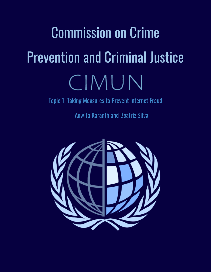# Commission on Crime Prevention and Criminal Justice CIMUN

Topic 1: Taking Measures to Prevent Internet Fraud

Anwita Karanth and Beatriz Silva

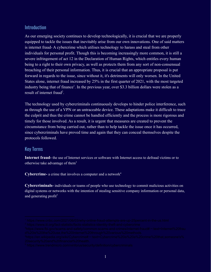#### Introduction

As our emerging society continues to develop technologically, it is crucial that we are properly equipped to tackle the issues that inevitably arise from our own innovations. One of said matters is internet fraud- A cybercrime which utilises technology to harass and steal from other individuals for personal profit. Though this is becoming increasingly more common, it is still a severe infringement of act 12 in the Declaration of Human Rights, which entitles every human being to a right to their own privacy, as well as protects them from any sort of non-consensual breaching of their personal information. Thus, it is crucial that an appropriate proposal is put forward in regards to the issue, since without it, it's detriments will only worsen. In the United States alone, internet fraud increased by 25% in the first quarter of 2021, with the most targeted industry being that of finance<sup>1</sup>. In the previous year, over \$3.3 billion dollars were stolen as a result of internet fraud<sup>2</sup>.

The technology used by cybercriminals continuously develops to hinder police interference, such as through the use of a VPN or an untraceable device. These adaptations make it difficult to trace the culprit and thus the crime cannot be handled efficiently and the process is more rigorous and timely for those involved. As a result, it is urgent that measures are created to prevent the circumstance from being carried out, rather than to help tackle the issue once it has occurred, since cybercriminals have proved time and again that they can conceal themselves despite the protocols followed.

#### Key Terms

**Internet fraud-** the use of Internet services or software with Internet access to defraud victims or to otherwise take advantage of them<sup>3</sup>

**Cybercrime-** a crime that involves a computer and a network 4

**Cybercriminals-** individuals or teams of people who use technology to commit malicious activities on digital systems or networks with the intention of stealing sensitive company information or personal data, and generating profit<sup>5</sup>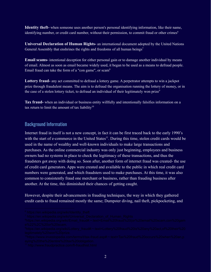**Identity theft-** when someone uses another person's personal identifying information, like their name, identifying number, or credit card number, without their permission, to commit fraud or other crimes<sup>6</sup>

**Universal Declaration of Human Rights-** an international document adopted by the United Nations General Assembly that enshrines the rights and freedoms of all human beings<sup>7</sup>

**Email scams-** intentional deception for either personal gain or to damage another individual by means of email. Almost as soon as email became widely used, it began to be used as a means to defraud people. Email fraud can take the form of a "con game", or scam<sup>8</sup>

**Lottery fraud-** any act committed to defraud a lottery game. A perpetrator attempts to win a jackpot prize through fraudulent means. The aim is to defraud the organisation running the lottery of money, or in the case of a stolen lottery ticket, to defraud an individual of their legitimately won prize<sup>9</sup>

**Tax fraud-** when an individual or business entity willfully and intentionally falsifies information on a tax return to limit the amount of tax liability $10$ 

### Background Information

Internet fraud in itself is not a new concept, in fact it can be first traced back to the early 1990's with the start of e-commerce in the United States<sup>11</sup>. During this time, stolen credit cards would be used in the name of wealthy and well-known individuals to make large transactions and purchases. As the online commercial industry was only just beginning, employees and business owners had no systems in place to check the legitimacy of these transactions, and thus the fraudsters got away with doing so. Soon after, another form of internet fraud was created- the use of credit card generators. Apps were created and available to the public in which real credit card numbers were generated, and which fraudsters used to make purchases. At this time, it was also common to consistently fraud one merchant or business, rather than frauding business after another. At the time, this diminished their chances of getting caught.

However, despite their advancements in frauding techniques, the way in which they gathered credit cards to fraud remained mostly the same; Dumpster diving, nail theft, pickpocketing, and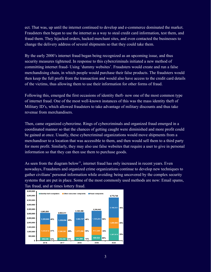ect. That was, up until the internet continued to develop and e-commerce dominated the market. Fraudsters then began to use the internet as a way to steal credit card information, test them, and fraud them. They hijacked orders, hacked merchant sites, and even contacted the businesses to change the delivery address of several shipments so that they could take them.

By the early 2000's internet fraud began being recognized as an upcoming issue, and thus security measures tightened. In response to this cybercriminals initiated a new method of committing internet fraud- Using 'dummy websites'. Fraudsters would create and run a false merchandising chain, in which people would purchase their false products. The fraudsters would then keep the full profit from the transaction and would also have access to the credit card details of the victims, thus allowing them to use their information for other forms of fraud.

Following this, emerged the first occasions of identity theft- now one of the most common type of internet fraud. One of the most well-known instances of this was the mass identity theft of Military ID's, which allowed fraudsters to take advantage of military discounts and thus take revenue from merchandisers.

Then, came organized cybercrime. Rings of cybercriminals and organized fraud emerged in a coordinated manner so that the chances of getting caught were diminished and more profit could be gained at once. Usually, these cybercriminal organizations would move shipments from a merchandiser to a location that was accessible to them, and then would sell them to a third party for more profit. Similarly, they may also use false websites that require a user to give in personal information so that they can then use them to purchase goods.

As seen from the diagram below<sup>11</sup>, internet fraud has only increased in recent years. Even nowadays, Fraudsters and organized crime organizations continue to develop new techniques to gather civilians' personal information while avoiding being uncovered by the complex security systems that are put in place. Some of the most commonly used methods are now: Email spams, Tax fraud, and at times lottery fraud.

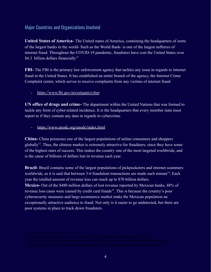#### Major Countries and Organizations Involved

**United States of America-** The United states of America, containing the headquarters of some of the largest banks in the world- Such as the World Bank- is one of the largest sufferers of internet fraud. Throughout the COVID-19 pandemic, fraudsters have cost the United States over \$4.3 billion dollars financially<sup>12</sup>

**FBI-** The FBI is the primary law enforcement agency that tackles any issue in regards to internet fraud in the United States. It has established an entire branch of the agency, the Internet Crime Complaint center, which serves to receive complaints from any victims of internet fraud.

#### - <https://www.fbi.gov/investigate/cyber>

**UN office of drugs and crime-** The department within the United Nations that was formed to tackle any form of cyber-related incidence. It is the headquarters that every member state must report to if they contain any data in regards to cybercrime.

- <https://www.unodc.org/unodc/index.html>

**China-** China possesses one of the largest populations of online consumers and shoppers globally<sup>13</sup>. Thus, the chinese market is extremely attractive for fraudsters, since they have some of the highest rates of success. This makes the country one of the most targeted worldwide, and is the cause of billions of dollars lost in revenue each year.

**Brazil-** Brazil contains some of the largest populations of pickpocketers and internet scammers worldwide, as it is said that between 3-6 fraudulent transactions are made each minute<sup>14</sup>. Each year the totalled amount of revenue loss can reach up to \$70 billion dollars.

**Mexico-** Out of the \$480 million dollars of lost revenue reported by Mexican banks, 48% of revenue loss cases were caused by credit card frauds<sup>14</sup>. This is because the country's poor cybersecurity measures and large ecommerce market make the Mexican population an exceptionally attractive audience to fraud. Not only is it easier to go undetected, but there are poor systems in place to track down fraudsters.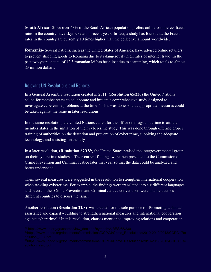**South Africa-** Since over 63% of the South African population prefers online commerce, fraud rates in the country have skyrocketed in recent years. In fact, a study has found that the Fraud rates in the country are currently 10 times higher than the collective amount worldwide.

**Romania-** Several nations, such as the United States of America, have advised online retailers to prevent shipping goods to Romania due to its dangerously high rates of internet fraud. In the past two years, a total of 12.3 romanian lei has been lost due to scamming, which totals to almost \$3 million dollars

#### Relevant UN Resolutions and Reports

In a General Assembly resolution created in 2011, (**Resolution 65/230)** the United Nations called for member states to collaborate and initiate a comprehensive study designed to investigate cybercrime problems at the time<sup>15</sup>. This was done so that appropriate measures could be taken against the issue in later resolutions.

In the same resolution, the United Nations called for the office on drugs and crime to aid the member states in the initiation of their cybercrime study. This was done through offering proper training of authorities on the detection and prevention of cybercrime, supplying the adequate technology, and assisting financially.

In a later resolution, (**Resolution 67/189**) the United States praised the intergovernmental group on their cybercrime studies<sup>16</sup>. Their current findings were then presented to the Commision on Crime Prevention and Criminal Justice later that year so that the data could be analyzed and better understood.

Then, several measures were suggested in the resolution to strengthen international cooperation when tackling cybercrime. For example, the findings were translated into six different languages, and several other Crime Prevention and Criminal Justice conventions were planned across different countries to discuss the issue.

Another resolution **(Resolution 22/8)** was created for the sole purpose of 'Promoting technical assistance and capacity-building to strengthen national measures and international cooperation against cybercrime<sup>'17</sup> In this resolution, clauses mentioned improving relations and cooperation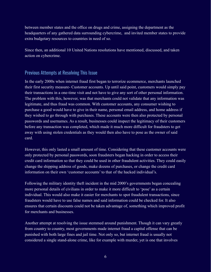between member states and the office on drugs and crime, assigning the department as the headquarters of any gathered data surrounding cybercrime, and invited member states to provide extra budgetary resources to countries in need of so.

Since then, an additional 10 United Nations resolutions have mentioned, discussed, and taken action on cybercrime.

### Previous Attempts at Resolving This Issue

In the early 2000s when internet fraud first began to terrorize ecommerce, merchants launched their first security measure- Customer accounts. Up until said point, customers would simply pay their transactions in a one-time visit and not have to give any sort of other personal information. The problem with this, however, was that merchants could not validate that any information was legitimate, and thus fraud was common. With customer accounts, any consumer wishing to purchase a good would have to give in their name, personal email address, and home address if they wished to go through with purchases. These accounts were then also protected by personal passwords and usernames. As a result, businesses could inspect the legitimacy of their customers before any transaction was completed, which made it much more difficult for fraudsters to get away with using stolen credentials as they would then also have to pose as the owner of said card.

However, this only lasted a small amount of time. Considering that these customer accounts were only protected by personal passwords, soon fraudsters began hacking in order to access their credit card information so that they could be used in other fraudulent activities. They could easily change the shipping address of goods, make dozens of purchases, or change the credit card information on their own 'customer accounts' to that of the hacked individual's.

Following the military identity theft incident in the mid 2000's governments began concealing more personal details of civilians in order to make it more difficult to 'pose' as a certain individual. This would also make it easier for merchants to spot fraudulent transactions, since fraudsters would have to use false names and said information could be checked for. It also ensures that certain discounts could not be taken advantage of, something which improved profit for merchants and businesses.

Another attempt at resolving the issue stemmed around punishment. Though it can vary greatly from country to country, most governments made internet fraud a capital offense that can be punished with both large fines and jail time. Not only so, but internet fraud is usually not considered a single stand-alone crime, like for example with murder, yet is one that involves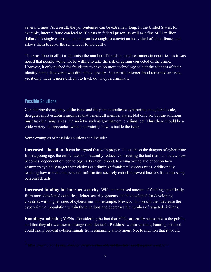several crimes. As a result, the jail sentences can be extremely long. In the United States, for example, internet fraud can lead to 20 years in federal prison, as well as a fine of \$1 million dollars<sup>18</sup>. A single case of an email scan is enough to convict an individual of this offence, and allows them to serve the sentence if found guilty.

This was done in effort to diminish the number of fraudsters and scammers in countries, as it was hoped that people would not be willing to take the risk of getting convicted of the crime. However, it only pushed for fraudsters to develop more technology so that the chances of their identity being discovered was diminished greatly. As a result, internet fraud remained an issue, yet it only made it more difficult to track down cybercriminals.

#### Possible Solutions

Considering the urgency of the issue and the plan to eradicate cybercrime on a global scale, delegates must establish measures that benefit all member states. Not only so, but the solutions must tackle a range areas in a society- such as government, civilians, ect. Thus there should be a wide variety of approaches when determining how to tackle the issue.

Some examples of possible solutions can include:

**Increased education-** It can be argued that with proper education on the dangers of cybercrime from a young age, the crime rates will naturally reduce. Considering the fact that our society now becomes dependent on technology early in childhood, teaching young audiences on how scammers typically target their victims can diminish fraudsters' success rates. Additionally, teaching how to maintain personal information securely can also prevent hackers from accessing personal details.

**Increased funding for internet security-** With an increased amount of funding, specifically from more developed countries, tighter security systems can be developed for developing countries with higher rates of cybercrime- For example, Mexico. This would then decrease the cybercriminal population within these nations and decreases the number of targeted civilians.

**Banning/abolishing VPNs-** Considering the fact that VPNs are easily accessible to the public, and that they allow a user to change their device's IP address within seconds, banning this tool could easily prevent cybercriminals from remaining anonymous. Not to mention that it would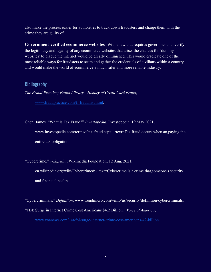also make the process easier for authorities to track down fraudsters and charge them with the crime they are guilty of.

**Government-verified ecommerce websites-** With a law that requires governments to verify the legitimacy and legality of any ecommerce websites that arise, the chances for 'dummy websites' to plague the internet would be greatly diminished. This would eradicate one of the most reliable ways for fraudsters to scam and gather the credentials of civilians within a country and would make the world of ecommerce a much safer and more reliable industry.

#### **Bibliography**

*The Fraud Practice; Fraud Library - History of Credit Card Fraud*,

[www.fraudpractice.com/fl-fraudhist.html](http://www.fraudpractice.com/fl-fraudhist.html).

Chen, James. "What Is Tax Fraud?" *Investopedia*, Investopedia, 19 May 2021,

www.investopedia.com/terms/t/tax-fraud.asp#:~:text=Tax fraud occurs when an,paying the entire tax obligation.

"Cybercrime." *Wikipedia*, Wikimedia Foundation, 12 Aug. 2021,

en.wikipedia.org/wiki/Cybercrime#:~:text=Cybercrime is a crime that,someone's security and financial health.

"Cybercriminals." *Definition*, www.trendmicro.com/vinfo/us/security/definition/cybercriminals.

"FBI: Surge in Internet Crime Cost Americans \$4.2 Billion." *Voice of America*,

[www.voanews.com/usa/fbi-surge-internet-crime-cost-americans-42-billion.](http://www.voanews.com/usa/fbi-surge-internet-crime-cost-americans-42-billion)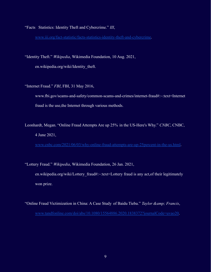"Facts Statistics: Identity Theft and Cybercrime." *III*, [www.iii.org/fact-statistic/facts-statistics-identity-theft-and-cybercrime](http://www.iii.org/fact-statistic/facts-statistics-identity-theft-and-cybercrime).

"Identity Theft." *Wikipedia*, Wikimedia Foundation, 10 Aug. 2021, en.wikipedia.org/wiki/Identity\_theft.

"Internet Fraud." *FBI*, FBI, 31 May 2016,

www.fbi.gov/scams-and-safety/common-scams-and-crimes/internet-fraud#:~:text=Internet fraud is the use,the Internet through various methods.

Leonhardt, Megan. "Online Fraud Attempts Are up 25% in the US-Here's Why." *CNBC*, CNBC, 4 June 2021,

[www.cnbc.com/2021/06/03/why-online-fraud-attempts-are-up-25percent-in-the-us.html](http://www.cnbc.com/2021/06/03/why-online-fraud-attempts-are-up-25percent-in-the-us.html).

"Lottery Fraud." *Wikipedia*, Wikimedia Foundation, 26 Jan. 2021, en.wikipedia.org/wiki/Lottery fraud#:~:text=Lottery fraud is any act,of their legitimately won prize.

"Online Fraud Victimization in China: A Case Study of Baidu Tieba." *Taylor & amp*; *Francis*, [www.tandfonline.com/doi/abs/10.1080/15564886.2020.1838372?journalCode=uvao20.](http://www.tandfonline.com/doi/abs/10.1080/15564886.2020.1838372?journalCode=uvao20)